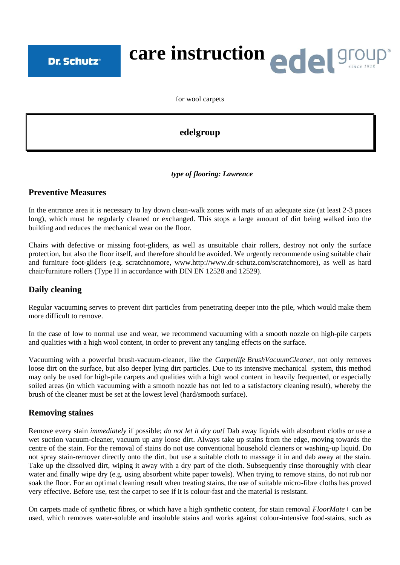# care instruction **ede struction**

for wool carpets

# **edelgroup**

#### *type of flooring: Lawrence*

#### **Preventive Measures**

In the entrance area it is necessary to lay down clean-walk zones with mats of an adequate size (at least 2-3 paces long), which must be regularly cleaned or exchanged. This stops a large amount of dirt being walked into the building and reduces the mechanical wear on the floor.

Chairs with defective or missing foot-gliders, as well as unsuitable chair rollers, destroy not only the surface protection, but also the floor itself, and therefore should be avoided. We urgently recommende using suitable chair and furniture foot-gliders (e.g. scratchnomore, www.http://www.dr-schutz.com/scratchnomore), as well as hard chair/furniture rollers (Type H in accordance with DIN EN 12528 and 12529).

## **Daily cleaning**

Regular vacuuming serves to prevent dirt particles from penetrating deeper into the pile, which would make them more difficult to remove.

In the case of low to normal use and wear, we recommend vacuuming with a smooth nozzle on high-pile carpets and qualities with a high wool content, in order to prevent any tangling effects on the surface.

Vacuuming with a powerful brush-vacuum-cleaner, like the *Carpetlife BrushVacuumCleaner,* not only removes loose dirt on the surface, but also deeper lying dirt particles. Due to its intensive mechanical system, this method may only be used for high-pile carpets and qualities with a high wool content in heavily frequented, or especially soiled areas (in which vacuuming with a smooth nozzle has not led to a satisfactory cleaning result), whereby the brush of the cleaner must be set at the lowest level (hard/smooth surface).

## **Removing staines**

Remove every stain *immediately* if possible; *do not let it dry out!* Dab away liquids with absorbent cloths or use a wet suction vacuum-cleaner, vacuum up any loose dirt. Always take up stains from the edge, moving towards the centre of the stain. For the removal of stains do not use conventional household cleaners or washing-up liquid. Do not spray stain-remover directly onto the dirt, but use a suitable cloth to massage it in and dab away at the stain. Take up the dissolved dirt, wiping it away with a dry part of the cloth. Subsequently rinse thoroughly with clear water and finally wipe dry (e.g. using absorbent white paper towels). When trying to remove stains, do not rub nor soak the floor. For an optimal cleaning result when treating stains, the use of suitable micro-fibre cloths has proved very effective. Before use, test the carpet to see if it is colour-fast and the material is resistant.

On carpets made of synthetic fibres, or which have a high synthetic content, for stain removal *FloorMate+* can be used, which removes water-soluble and insoluble stains and works against colour-intensive food-stains, such as